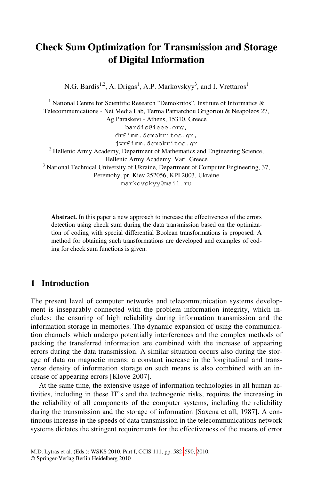# **Check Sum Optimization for Transmission and Storage of Digital Information**

N.G. Bardis<sup>1,2</sup>, A. Drigas<sup>1</sup>, A.P. Markovskyy<sup>3</sup>, and I. Vrettaros<sup>1</sup>

<sup>1</sup> National Centre for Scientific Research "Demokritos", Institute of Informatics  $\&$ Telecommunications - Net Media Lab, Terma Patriarchou Grigoriou & Neapoleos 27, Ag.Paraskevi - Athens, 15310, Greece bardis@ieee.org, dr@imm.demokritos.gr, jvr@imm.demokritos.gr  $2$  Hellenic Army Academy, Department of Mathematics and Engineering Science, Hellenic Army Academy, Vari, Greece<br><sup>3</sup> National Technical University of Ukraine, Department of Computer Engineering, 37, Peremohy, pr. Kiev 252056, KPI 2003, Ukraine markovskyy@mail.ru

**Abstract.** In this paper a new approach to increase the effectiveness of the errors detection using check sum during the data transmission based on the optimization of coding with special differential Boolean transformations is proposed. A method for obtaining such transformations are developed and examples of coding for check sum functions is given.

### **1 Introduction**

The present level of computer networks and telecommunication systems development is inseparably connected with the problem information integrity, which includes: the ensuring of high reliability during information transmission and the information storage in memories. The dynamic expansion of using the communication channels which undergo potentially interferences and the complex methods of packing the transferred information are combined with the increase of appearing errors during the data transmission. A similar situation occurs also during the storage of data on magnetic means: a constant increase in the longitudinal and transverse density of information storage on such means is also combined with an increase of appearing errors [Klove 2007].

At the same time, the extens[ive u](#page-8-0)sage of information technologies in all human activities, including in these IT's and the technogenic risks, requires the increasing in the reliability of all components of the computer systems, including the reliability during the transmission and the storage of information [Saxena et all, 1987]. A continuous increase in the speeds of data transmission in the telecommunications network systems dictates the stringent requirements for the effectiveness of the means of error

M.D. Lytras et al. (Eds.): WSKS 2010, Part I, CCIS 111, pp. 582–590, 2010.

<sup>©</sup> Springer-Verlag Berlin Heidelberg 2010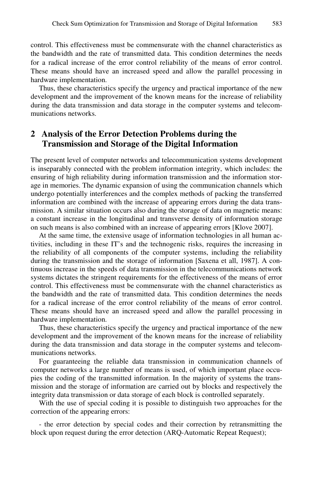control. This effectiveness must be commensurate with the channel characteristics as the bandwidth and the rate of transmitted data. This condition determines the needs for a radical increase of the error control reliability of the means of error control. These means should have an increased speed and allow the parallel processing in hardware implementation.

Thus, these characteristics specify the urgency and practical importance of the new development and the improvement of the known means for the increase of reliability during the data transmission and data storage in the computer systems and telecommunications networks.

# **2 Analysis of the Error Detection Problems during the Transmission and Storage of the Digital Information**

The present level of computer networks and telecommunication systems development is inseparably connected with the problem information integrity, which includes: the ensuring of high reliability during information transmission and the information storage in memories. The dynamic expansion of using the communication channels which undergo potentially interferences and the complex methods of packing the transferred information are combined with the increase of appearing errors during the data transmission. A similar situation occurs also during the storage of data on magnetic means: a constant increase in the longitudinal and transverse density of information storage on such means is also combined with an increase of appearing errors [Klove 2007].

At the same time, the extensive usage of information technologies in all human activities, including in these IT's and the technogenic risks, requires the increasing in the reliability of all components of the computer systems, including the reliability during the transmission and the storage of information [Saxena et all, 1987]. A continuous increase in the speeds of data transmission in the telecommunications network systems dictates the stringent requirements for the effectiveness of the means of error control. This effectiveness must be commensurate with the channel characteristics as the bandwidth and the rate of transmitted data. This condition determines the needs for a radical increase of the error control reliability of the means of error control. These means should have an increased speed and allow the parallel processing in hardware implementation.

Thus, these characteristics specify the urgency and practical importance of the new development and the improvement of the known means for the increase of reliability during the data transmission and data storage in the computer systems and telecommunications networks.

For guaranteeing the reliable data transmission in communication channels of computer networks a large number of means is used, of which important place occupies the coding of the transmitted information. In the majority of systems the transmission and the storage of information are carried out by blocks and respectively the integrity data transmission or data storage of each block is controlled separately.

With the use of special coding it is possible to distinguish two approaches for the correction of the appearing errors:

- the error detection by special codes and their correction by retransmitting the block upon request during the error detection (ARQ-Automatic Repeat Request);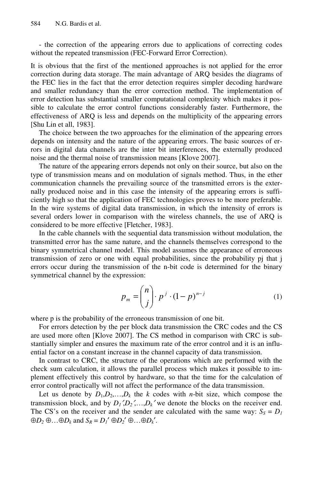- the correction of the appearing errors due to applications of correcting codes without the repeated transmission (FEC-Forward Error Correction).

It is obvious that the first of the mentioned approaches is not applied for the error correction during data storage. The main advantage of ARQ besides the diagrams of the FEC lies in the fact that the error detection requires simpler decoding hardware and smaller redundancy than the error correction method. The implementation of error detection has substantial smaller computational complexity which makes it possible to calculate the error control functions considerably faster. Furthermore, the effectiveness of ARQ is less and depends on the multiplicity of the appearing errors [Shu Lin et all, 1983].

The choice between the two approaches for the elimination of the appearing errors depends on intensity and the nature of the appearing errors. The basic sources of errors in digital data channels are the inter bit interferences, the externally produced noise and the thermal noise of transmission means [Klove 2007].

The nature of the appearing errors depends not only on their source, but also on the type of transmission means and on modulation of signals method. Thus, in the ether communication channels the prevailing source of the transmitted errors is the externally produced noise and in this case the intensity of the appearing errors is sufficiently high so that the application of FEC technologies proves to be more preferable. In the wire systems of digital data transmission, in which the intensity of errors is several orders lower in comparison with the wireless channels, the use of ARQ is considered to be more effective [Fletcher, 1983].

In the cable channels with the sequential data transmission without modulation, the transmitted error has the same nature, and the channels themselves correspond to the binary symmetrical channel model. This model assumes the appearance of erroneous transmission of zero or one with equal probabilities, since the probability pj that j errors occur during the transmission of the n-bit code is determined for the binary symmetrical channel by the expression:

$$
p_m = {n \choose j} \cdot p^j \cdot (1-p)^{n-j} \tag{1}
$$

where p is the probability of the erroneous transmission of one bit.

For errors detection by the per block data transmission the CRC codes and the CS are used more often [Klove 2007]. The CS method in comparison with CRC is substantially simpler and ensures the maximum rate of the error control and it is an influential factor on a constant increase in the channel capacity of data transmission.

In contrast to CRC, the structure of the operations which are performed with the check sum calculation, it allows the parallel process which makes it possible to implement effectively this control by hardware, so that the time for the calculation of error control practically will not affect the performance of the data transmission.

Let us denote by  $D_1, D_2, \ldots, D_k$  the *k* codes with *n*-bit size, which compose the transmission block, and by  $D_1$ <sup>'</sup>, $D_2$ <sup>'</sup>,..., $D_k$ <sup>'</sup> we denote the blocks on the receiver end. The CS's on the receiver and the sender are calculated with the same way:  $S_s = D_l$  $\oplus D_2 \oplus ... \oplus D_k$  and  $S_R = D_1' \oplus D_2' \oplus ... \oplus D_k'$ .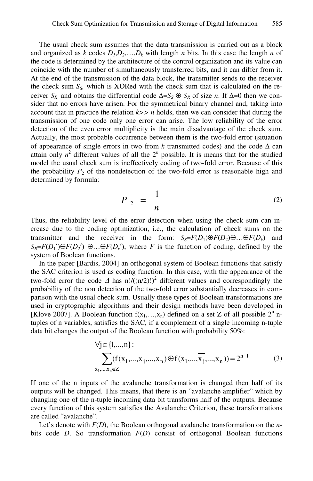The usual check sum assumes that the data transmission is carried out as a block and organized as *k* codes  $D_1, D_2, \ldots, D_k$  with length *n* bits. In this case the length *n* of the code is determined by the architecture of the control organization and its value can coincide with the number of simultaneously transferred bits, and it can differ from it. At the end of the transmission of the data block, the transmitter sends to the receiver the check sum  $S<sub>s</sub>$ , which is XORed with the check sum that is calculated on the receiver  $S_R$  and obtains the differential code  $\Delta = S_S \oplus S_R$  of size *n*. If  $\Delta = 0$  then we consider that no errors have arisen. For the symmetrical binary channel and, taking into account that in practice the relation  $k \geq n$  holds, then we can consider that during the transmission of one code only one error can arise. The low reliability of the error detection of the even error multiplicity is the main disadvantage of the check sum. Actually, the most probable occurrence between them is the two-fold error (situation of appearance of single errors in two from *k* transmitted codes) and the code  $\Delta$  can attain only  $n^2$  different values of all the  $2^n$  possible. It is means that for the studied model the usual check sum is ineffectively coding of two-fold error. Because of this the probability  $P_2$  of the nondetection of the two-fold error is reasonable high and determined by formula:

$$
P_2 = \frac{1}{n} \tag{2}
$$

Thus, the reliability level of the error detection when using the check sum can increase due to the coding optimization, i.e., the calculation of check sums on the transmitter and the receiver in the form:  $S_S = F(D_1) \oplus F(D_2) \oplus ... \oplus F(D_k)$  and  $S_R = F(D_1') \oplus F(D_2') \oplus ... \oplus F(D_k')$ , where *F* is the function of coding, defined by the system of Boolean functions.

In the paper [Bardis, 2004] an orthogonal system of Boolean functions that satisfy the SAC criterion is used as coding function. In this case, with the appearance of the two-fold error the code  $\Delta$  has n!/((n/2)!)<sup>2</sup> different values and correspondingly the probability of the non detection of the two-fold error substantially decreases in comparison with the usual check sum. Usually these types of Boolean transformations are used in cryptographic algorithms and their design methods have been developed in [Klove 2007]. A Boolean function  $f(x_1,...,x_n)$  defined on a set Z of all possible  $2^n$  ntuples of n variables, satisfies the SAC, if a complement of a single incoming n-tuple data bit changes the output of the Boolean function with probability 50%:

$$
\forall j \in \{1,...,n\}: \sum_{x_1,...,x_n \in Z} (f(x_1,...,x_j,...,x_n) \oplus f(x_1,...,\overline{x}_j,...,x_n)) = 2^{n-1}
$$
(3)

If one of the n inputs of the avalanche transformation is changed then half of its outputs will be changed. This means, that there is an "avalanche amplifier" which by changing one of the n-tuple incoming data bit transforms half of the outputs. Because every function of this system satisfies the Avalanche Criterion, these transformations are called "avalanche".

Let's denote with *F*(*D*), the Boolean orthogonal avalanche transformation on the *n*bits code *D*. So transformation *F*(*D*) consist of orthogonal Boolean functions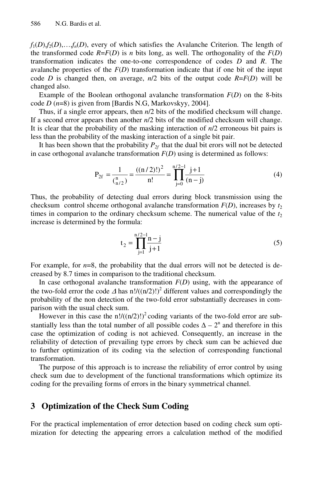$f_1(D), f_2(D), \ldots, f_n(D)$ , every of which satisfies the Avalanche Criterion. The length of the transformed code  $R = F(D)$  is *n* bits long, as well. The orthogonality of the  $F(D)$ transformation indicates the one-to-one correspondence of codes *D* and *R*. The avalanche properties of the *F*(*D*) transformation indicate that if one bit of the input code *D* is changed then, on average,  $n/2$  bits of the output code  $R = F(D)$  will be changed also.

Example of the Boolean orthogonal avalanche transformation *F*(*D*) on the 8-bits code *D* (*n*=8) is given from [Bardis N.G, Markovskyy, 2004].

Thus, if a single error appears, then *n*/2 bits of the modified checksum will change. If a second error appears then another *n*/2 bits of the modified checksum will change. It is clear that the probability of the masking interaction of *n*/2 erroneous bit pairs is less than the probability of the masking interaction of a single bit pair.

It has been shown that the probability  $P_{2f}$  that the dual bit erors will not be detected in case orthogonal avalanche transformation *F*(*D*) using is determined as follows:

$$
P_{2f} = \frac{1}{\binom{n}{n/2}} = \frac{((n/2)!)^2}{n!} = \prod_{j=0}^{n/2-1} \frac{j+1}{(n-j)}
$$
(4)

Thus, the probability of detecting dual errors during block transmission using the checksum control shceme orthogonal avalanche transformation  $F(D)$ , increases by  $t_2$ times in comparion to the ordinary checksum scheme. The numerical value of the  $t_2$ increase is determined by the formula:

$$
t_2 = \prod_{j=1}^{n/2-1} \frac{n-j}{j+1}
$$
 (5)

For example, for  $n=8$ , the probability that the dual errors will not be detected is decreased by 8.7 times in comparison to the traditional checksum.

In case orthogonal avalanche transformation  $F(D)$  using, with the appearance of the two-fold error the code  $\Delta$  has n!/((n/2)!)<sup>2</sup> different values and correspondingly the probability of the non detection of the two-fold error substantially decreases in comparison with the usual check sum.

However in this case the n!/((n/2)!)<sup>2</sup> coding variants of the two-fold error are substantially less than the total number of all possible codes  $\Delta - 2^{n}$  and therefore in this case the optimization of coding is not achieved. Consequently, an increase in the reliability of detection of prevailing type errors by check sum can be achieved due to further optimization of its coding via the selection of corresponding functional transformation.

The purpose of this approach is to increase the reliability of error control by using check sum due to development of the functional transformations which optimize its coding for the prevailing forms of errors in the binary symmetrical channel.

#### **3 Optimization of the Check Sum Coding**

For the practical implementation of error detection based on coding check sum optimization for detecting the appearing errors a calculation method of the modified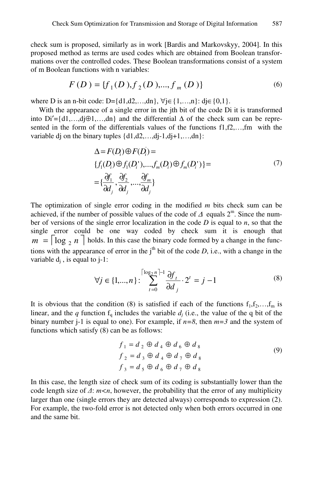check sum is proposed, similarly as in work [Bardis and Markovskyy, 2004]. In this proposed method as terms are used codes which are obtained from Boolean transformations over the controlled codes. These Boolean transformations consist of a system of m Boolean functions with n variables:

$$
F(D) = \{f_1(D), f_2(D), \dots, f_m(D)\}
$$
 (6)

where D is an n-bit code: D={d1,d2,...,dn},  $\forall j \in \{1,...,n\}$ : dj $\in \{0,1\}$ .

With the appearance of a single error in the jth bit of the code Di it is transformed into Di'={d1,...,dj $\oplus$ 1,...,dn} and the differential  $\Delta$  of the check sum can be represented in the form of the differentials values of the functions f1,f2,…,fm with the variable dj on the binary tuples  $\{d1,d2,\ldots,dj-1,dj+1,\ldots,dn\}$ :

$$
\Delta = F(D_i) \oplus F(D_i) =
$$
\n
$$
\{f_1(D_i) \oplus f_1(D_i'), \dots, f_m(D_i) \oplus f_m(D_i')\} =
$$
\n
$$
= \{\frac{\partial f_1}{\partial d_j}, \frac{\partial f_2}{\partial d_j}, \dots, \frac{\partial f_m}{\partial d_j}\}
$$
\n(7)

The optimization of single error coding in the modified *m* bits check sum can be achieved, if the number of possible values of the code of  $\Delta$  equals  $2^m$ . Since the number of versions of the single error localization in the code *D* is equal to *n*, so that the single error could be one way coded by check sum it is enough that  $m = \lceil \log_2 n \rceil$  holds. In this case the binary code formed by a change in the functions with the appearance of error in the  $j<sup>th</sup>$  bit of the code  $D$ , i.e., with a change in the variable  $d_i$ , is equal to j-1:

$$
\forall j \in \{1, ..., n\}: \sum_{t=0}^{\lceil \log_2 n \rceil - 1} \frac{\partial f_t}{\partial d_j} \cdot 2^t = j - 1
$$
 (8)

It is obvious that the condition (8) is satisfied if each of the functions  $f_1, f_2, \ldots, f_m$  is linear, and the *q* function  $f_q$  includes the variable  $d_i$  (i.e., the value of the q bit of the binary number j-1 is equal to one). For example, if *n=8*, then *m=3* and the system of functions which satisfy (8) can be as follows:

$$
f_1 = d_2 \oplus d_4 \oplus d_6 \oplus d_8
$$
  
\n
$$
f_2 = d_3 \oplus d_4 \oplus d_7 \oplus d_8
$$
  
\n
$$
f_3 = d_5 \oplus d_6 \oplus d_7 \oplus d_8
$$
  
\n(9)

In this case, the length size of check sum of its coding is substantially lower than the code length size of  $\Delta$ :  $m$ <n, however, the probability that the error of any multiplicity larger than one (single errors they are detected always) corresponds to expression (2). For example, the two-fold error is not detected only when both errors occurred in one and the same bit.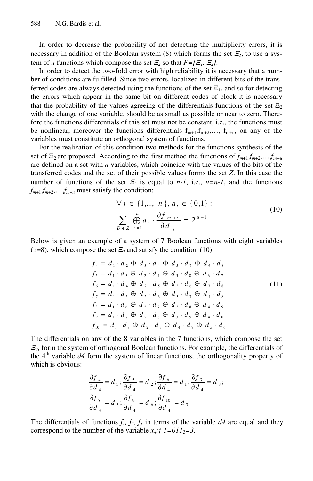In order to decrease the probability of not detecting the multiplicity errors, it is necessary in addition of the Boolean system (8) which forms the set  $\mathcal{Z}_1$ , to use a system of *u* functions which compose the set  $\mathcal{Z}_2$  so that  $F=\{\mathcal{Z}_1, \mathcal{Z}_2\}$ .

In order to detect the two-fold error with high reliability it is necessary that a number of conditions are fulfilled. Since two errors, localized in different bits of the transferred codes are always detected using the functions of the set  $\Xi_1$ , and so for detecting the errors which appear in the same bit on different codes of block it is necessary that the probability of the values agreeing of the differentials functions of the set  $\Xi_2$ with the change of one variable, should be as small as possible or near to zero. Therefore the functions differentials of this set must not be constant, i.e., the functions must be nonlinear, moreover the functions differentials  $f_{m+1}, f_{m+2}, \ldots, f_{m+n}$ , on any of the variables must constitute an orthogonal system of functions.

For the realization of this condition two methods for the functions synthesis of the set of  $\Xi_2$  are proposed. According to the first method the functions of  $f_{m+1}, f_{m+2},..., f_{m+n}$ are defined on a set with *n* variables, which coincide with the values of the bits of the transferred codes and the set of their possible values forms the set *Z*. In this case the number of functions of the set  $\mathcal{Z}_2$  is equal to *n-1*, i.e., *u*=*n-1*, and the functions  $f_{m+1}$ *f*<sub>m+2</sub>,...*,f*<sub>m+*u*</sub> must satisfy the condition:

$$
\forall j \in \{1, ..., n\}, a_{t} \in \{0,1\}:
$$
  

$$
\sum_{D \in \mathbb{Z}} \bigoplus_{t=1}^{u} a_{t} \cdot \frac{\partial f_{m+t}}{\partial d_{j}} = 2^{u-1}
$$
 (10)

Below is given an example of a system of 7 Boolean functions with eight variables (n=8), which compose the set  $\Xi_2$  and satisfy the condition (10):

$$
f_4 = d_1 \cdot d_2 \oplus d_3 \cdot d_4 \oplus d_5 \cdot d_7 \oplus d_6 \cdot d_8
$$
  
\n
$$
f_5 = d_1 \cdot d_3 \oplus d_2 \cdot d_4 \oplus d_5 \cdot d_8 \oplus d_6 \cdot d_7
$$
  
\n
$$
f_6 = d_1 \cdot d_4 \oplus d_2 \cdot d_5 \oplus d_3 \cdot d_6 \oplus d_7 \cdot d_8
$$
  
\n
$$
f_7 = d_1 \cdot d_5 \oplus d_2 \cdot d_6 \oplus d_3 \cdot d_7 \oplus d_4 \cdot d_8
$$
  
\n
$$
f_8 = d_1 \cdot d_6 \oplus d_2 \cdot d_7 \oplus d_3 \cdot d_8 \oplus d_4 \cdot d_5
$$
  
\n
$$
f_9 = d_1 \cdot d_7 \oplus d_2 \cdot d_8 \oplus d_3 \cdot d_5 \oplus d_4 \cdot d_6
$$
  
\n
$$
f_{10} = d_1 \cdot d_8 \oplus d_2 \cdot d_3 \oplus d_4 \cdot d_7 \oplus d_5 \cdot d_6
$$

The differentials on any of the 8 variables in the 7 functions, which compose the set <sup>Ξ</sup>*2*, form the system of orthogonal Boolean functions. For example, the differentials of the 4<sup>th</sup> variable d4 form the system of linear functions, the orthogonality property of which is obvious:

$$
\frac{\partial f_4}{\partial d_4} = d_3; \frac{\partial f_5}{\partial d_4} = d_2; \frac{\partial f_6}{\partial d_4} = d_1; \frac{\partial f_7}{\partial d_4} = d_8;
$$
  

$$
\frac{\partial f_8}{\partial d_4} = d_5; \frac{\partial f_9}{\partial d_4} = d_6; \frac{\partial f_{10}}{\partial d_4} = d_7
$$

The differentials of functions  $f_1$ ,  $f_2$ ,  $f_3$  in terms of the variable  $d4$  are equal and they correspond to the number of the variable  $x_4$ : $j-1=0$ *l* $1_2=3$ .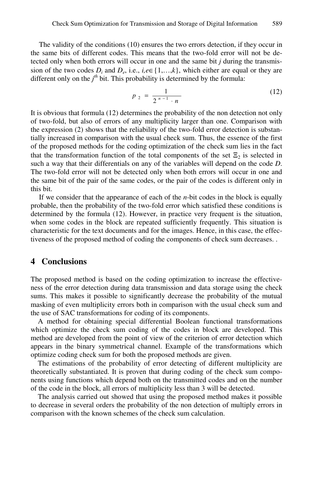The validity of the conditions (10) ensures the two errors detection, if they occur in the same bits of different codes. This means that the two-fold error will not be detected only when both errors will occur in one and the same bit *j* during the transmission of the two codes  $D_i$  and  $D_e$ , i.e.,  $i, e \in \{1, \ldots, k\}$ , which either are equal or they are different only on the  $j<sup>th</sup>$  bit. This probability is determined by the formula:

$$
p_2 = \frac{1}{2^{n-1} \cdot n} \tag{12}
$$

It is obvious that formula (12) determines the probability of the non detection not only of two-fold, but also of errors of any multiplicity larger than one. Comparison with the expression (2) shows that the reliability of the two-fold error detection is substantially increased in comparison with the usual check sum. Thus, the essence of the first of the proposed methods for the coding optimization of the check sum lies in the fact that the transformation function of the total components of the set  $\Xi_2$  is selected in such a way that their differentials on any of the variables will depend on the code *D*. The two-fold error will not be detected only when both errors will occur in one and the same bit of the pair of the same codes, or the pair of the codes is different only in this bit.

If we consider that the appearance of each of the *n*-bit codes in the block is equally probable, then the probability of the two-fold error which satisfied these conditions is determined by the formula (12). However, in practice very frequent is the situation, when some codes in the block are repeated sufficiently frequently. This situation is characteristic for the text documents and for the images. Hence, in this case, the effectiveness of the proposed method of coding the components of check sum decreases. .

#### **4 Conclusions**

The proposed method is based on the coding optimization to increase the effectiveness of the error detection during data transmission and data storage using the check sums. This makes it possible to significantly decrease the probability of the mutual masking of even multiplicity errors both in comparison with the usual check sum and the use of SAC transformations for coding of its components.

A method for obtaining special differential Boolean functional transformations which optimize the check sum coding of the codes in block are developed. This method are developed from the point of view of the criterion of error detection which appears in the binary symmetrical channel. Example of the transformations which optimize coding check sum for both the proposed methods are given.

The estimations of the probability of error detecting of different multiplicity are theoretically substantiated. It is proven that during coding of the check sum components using functions which depend both on the transmitted codes and on the number of the code in the block, all errors of multiplicity less than 3 will be detected.

The analysis carried out showed that using the proposed method makes it possible to decrease in several orders the probability of the non detection of multiply errors in comparison with the known schemes of the check sum calculation.